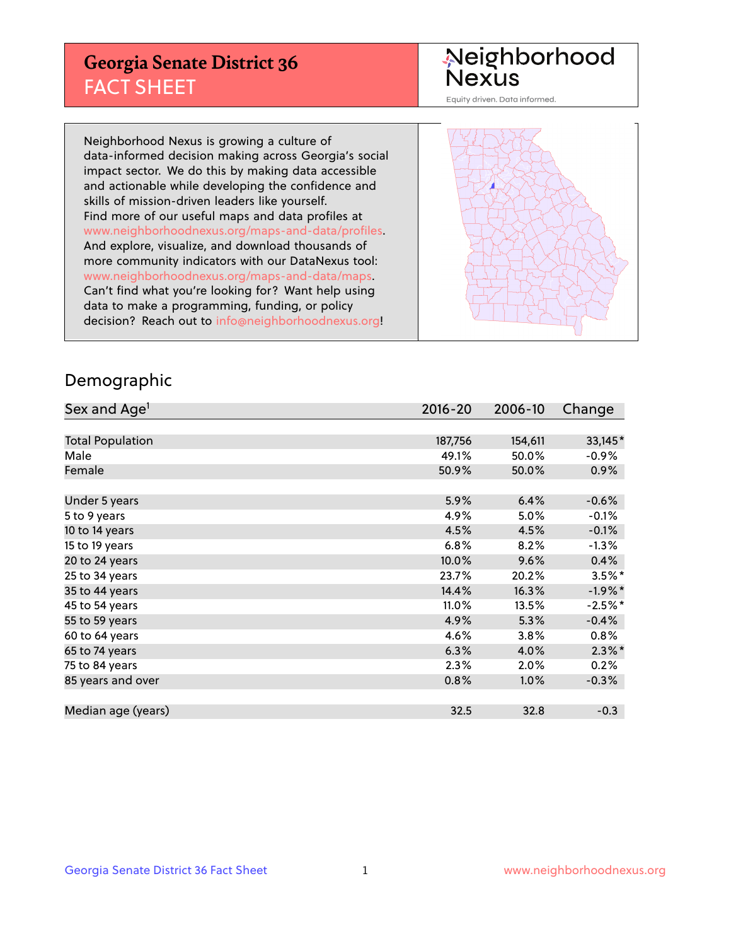## **Georgia Senate District 36** FACT SHEET

# Neighborhood<br>Nexus

Equity driven. Data informed.

Neighborhood Nexus is growing a culture of data-informed decision making across Georgia's social impact sector. We do this by making data accessible and actionable while developing the confidence and skills of mission-driven leaders like yourself. Find more of our useful maps and data profiles at www.neighborhoodnexus.org/maps-and-data/profiles. And explore, visualize, and download thousands of more community indicators with our DataNexus tool: www.neighborhoodnexus.org/maps-and-data/maps. Can't find what you're looking for? Want help using data to make a programming, funding, or policy decision? Reach out to [info@neighborhoodnexus.org!](mailto:info@neighborhoodnexus.org)



### Demographic

| Sex and Age <sup>1</sup> | $2016 - 20$ | 2006-10 | Change    |
|--------------------------|-------------|---------|-----------|
|                          |             |         |           |
| <b>Total Population</b>  | 187,756     | 154,611 | 33,145*   |
| Male                     | 49.1%       | 50.0%   | $-0.9%$   |
| Female                   | 50.9%       | 50.0%   | $0.9\%$   |
|                          |             |         |           |
| Under 5 years            | 5.9%        | 6.4%    | $-0.6%$   |
| 5 to 9 years             | 4.9%        | 5.0%    | $-0.1%$   |
| 10 to 14 years           | 4.5%        | 4.5%    | $-0.1%$   |
| 15 to 19 years           | 6.8%        | 8.2%    | $-1.3%$   |
| 20 to 24 years           | 10.0%       | 9.6%    | 0.4%      |
| 25 to 34 years           | 23.7%       | 20.2%   | $3.5%$ *  |
| 35 to 44 years           | 14.4%       | 16.3%   | $-1.9%$ * |
| 45 to 54 years           | 11.0%       | 13.5%   | $-2.5%$ * |
| 55 to 59 years           | 4.9%        | 5.3%    | $-0.4%$   |
| 60 to 64 years           | 4.6%        | 3.8%    | $0.8\%$   |
| 65 to 74 years           | 6.3%        | 4.0%    | $2.3\%$ * |
| 75 to 84 years           | 2.3%        | 2.0%    | 0.2%      |
| 85 years and over        | 0.8%        | 1.0%    | $-0.3%$   |
|                          |             |         |           |
| Median age (years)       | 32.5        | 32.8    | $-0.3$    |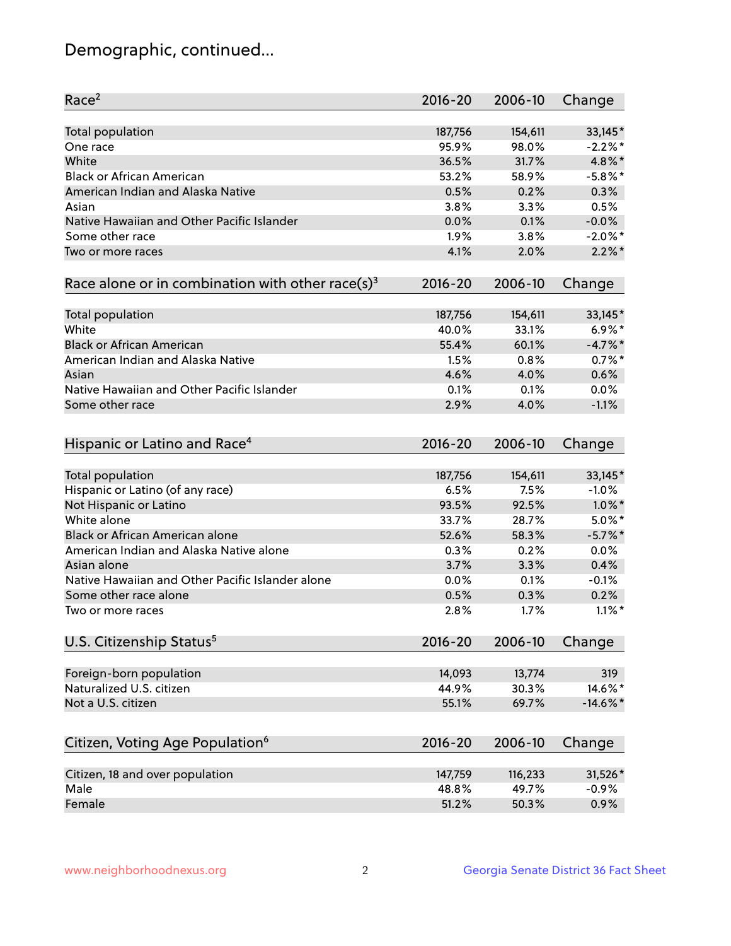## Demographic, continued...

| Race <sup>2</sup>                                            | $2016 - 20$ | 2006-10 | Change      |
|--------------------------------------------------------------|-------------|---------|-------------|
| <b>Total population</b>                                      | 187,756     | 154,611 | 33,145*     |
| One race                                                     | 95.9%       | 98.0%   | $-2.2%$ *   |
| White                                                        | 36.5%       | 31.7%   | 4.8%*       |
| <b>Black or African American</b>                             | 53.2%       | 58.9%   | $-5.8\%$ *  |
| American Indian and Alaska Native                            | 0.5%        | 0.2%    | 0.3%        |
| Asian                                                        | 3.8%        | 3.3%    | 0.5%        |
| Native Hawaiian and Other Pacific Islander                   | 0.0%        | 0.1%    | $-0.0%$     |
| Some other race                                              | 1.9%        | 3.8%    | $-2.0\%$ *  |
| Two or more races                                            | 4.1%        | 2.0%    | $2.2\%$ *   |
| Race alone or in combination with other race(s) <sup>3</sup> | $2016 - 20$ | 2006-10 | Change      |
| Total population                                             | 187,756     | 154,611 | 33,145*     |
| White                                                        | 40.0%       | 33.1%   | $6.9\%$ *   |
| <b>Black or African American</b>                             | 55.4%       | 60.1%   | $-4.7\%$ *  |
| American Indian and Alaska Native                            | 1.5%        | 0.8%    | $0.7%$ *    |
| Asian                                                        | 4.6%        | 4.0%    | 0.6%        |
| Native Hawaiian and Other Pacific Islander                   | 0.1%        | 0.1%    | 0.0%        |
| Some other race                                              | 2.9%        | 4.0%    | $-1.1%$     |
| Hispanic or Latino and Race <sup>4</sup>                     | $2016 - 20$ | 2006-10 | Change      |
| <b>Total population</b>                                      | 187,756     | 154,611 | 33,145*     |
| Hispanic or Latino (of any race)                             | 6.5%        | 7.5%    | $-1.0%$     |
| Not Hispanic or Latino                                       | 93.5%       | 92.5%   | $1.0\%$ *   |
| White alone                                                  | 33.7%       | 28.7%   | $5.0\%$ *   |
| <b>Black or African American alone</b>                       | 52.6%       | 58.3%   | $-5.7\%$ *  |
| American Indian and Alaska Native alone                      | 0.3%        | 0.2%    | 0.0%        |
| Asian alone                                                  | 3.7%        | 3.3%    | 0.4%        |
| Native Hawaiian and Other Pacific Islander alone             | 0.0%        | 0.1%    | $-0.1%$     |
| Some other race alone                                        | 0.5%        | 0.3%    | 0.2%        |
| Two or more races                                            | 2.8%        | 1.7%    | $1.1\%$ *   |
| U.S. Citizenship Status <sup>5</sup>                         | $2016 - 20$ | 2006-10 | Change      |
| Foreign-born population                                      | 14,093      | 13,774  | 319         |
| Naturalized U.S. citizen                                     | 44.9%       | 30.3%   | 14.6%*      |
| Not a U.S. citizen                                           | 55.1%       | 69.7%   | $-14.6\%$ * |
|                                                              |             |         |             |
| Citizen, Voting Age Population <sup>6</sup>                  | 2016-20     | 2006-10 | Change      |
| Citizen, 18 and over population                              | 147,759     | 116,233 | 31,526*     |
| Male                                                         | 48.8%       | 49.7%   | $-0.9%$     |
| Female                                                       | 51.2%       | 50.3%   | 0.9%        |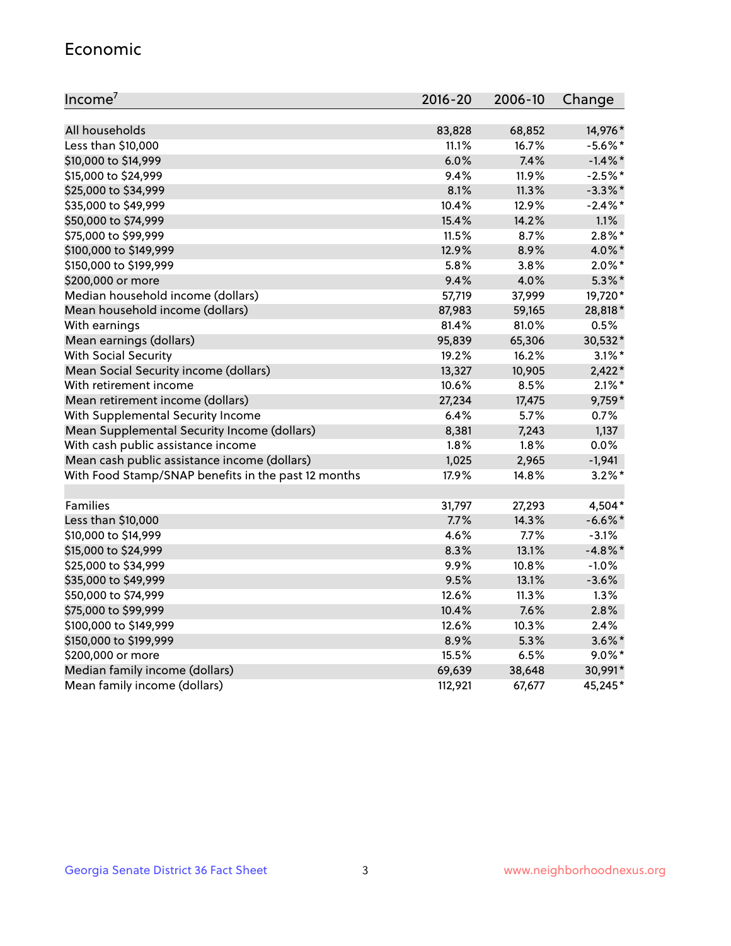#### Economic

| Income <sup>7</sup>                                 | $2016 - 20$ | 2006-10 | Change     |
|-----------------------------------------------------|-------------|---------|------------|
|                                                     |             |         |            |
| All households                                      | 83,828      | 68,852  | 14,976*    |
| Less than \$10,000                                  | 11.1%       | 16.7%   | $-5.6\%$ * |
| \$10,000 to \$14,999                                | 6.0%        | 7.4%    | $-1.4\%$ * |
| \$15,000 to \$24,999                                | 9.4%        | 11.9%   | $-2.5%$ *  |
| \$25,000 to \$34,999                                | 8.1%        | 11.3%   | $-3.3\%$ * |
| \$35,000 to \$49,999                                | 10.4%       | 12.9%   | $-2.4\%$ * |
| \$50,000 to \$74,999                                | 15.4%       | 14.2%   | 1.1%       |
| \$75,000 to \$99,999                                | 11.5%       | 8.7%    | $2.8\%$ *  |
| \$100,000 to \$149,999                              | 12.9%       | 8.9%    | 4.0%*      |
| \$150,000 to \$199,999                              | 5.8%        | 3.8%    | $2.0\%$ *  |
| \$200,000 or more                                   | 9.4%        | 4.0%    | $5.3\%$ *  |
| Median household income (dollars)                   | 57,719      | 37,999  | 19,720*    |
| Mean household income (dollars)                     | 87,983      | 59,165  | 28,818*    |
| With earnings                                       | 81.4%       | 81.0%   | 0.5%       |
| Mean earnings (dollars)                             | 95,839      | 65,306  | 30,532*    |
| <b>With Social Security</b>                         | 19.2%       | 16.2%   | $3.1\%$ *  |
| Mean Social Security income (dollars)               | 13,327      | 10,905  | $2,422*$   |
| With retirement income                              | 10.6%       | 8.5%    | $2.1\%$ *  |
| Mean retirement income (dollars)                    | 27,234      | 17,475  | $9,759*$   |
| With Supplemental Security Income                   | 6.4%        | 5.7%    | 0.7%       |
| Mean Supplemental Security Income (dollars)         | 8,381       | 7,243   | 1,137      |
| With cash public assistance income                  | 1.8%        | 1.8%    | 0.0%       |
| Mean cash public assistance income (dollars)        | 1,025       | 2,965   | $-1,941$   |
| With Food Stamp/SNAP benefits in the past 12 months | 17.9%       | 14.8%   | $3.2\%$ *  |
|                                                     |             |         |            |
| Families                                            | 31,797      | 27,293  | 4,504*     |
| Less than \$10,000                                  | 7.7%        | 14.3%   | $-6.6\%$ * |
| \$10,000 to \$14,999                                | 4.6%        | 7.7%    | $-3.1%$    |
| \$15,000 to \$24,999                                | 8.3%        | 13.1%   | $-4.8\%$ * |
| \$25,000 to \$34,999                                | 9.9%        | 10.8%   | $-1.0%$    |
| \$35,000 to \$49,999                                | 9.5%        | 13.1%   | $-3.6%$    |
| \$50,000 to \$74,999                                | 12.6%       | 11.3%   | 1.3%       |
| \$75,000 to \$99,999                                | 10.4%       | 7.6%    | 2.8%       |
| \$100,000 to \$149,999                              | 12.6%       | 10.3%   | 2.4%       |
| \$150,000 to \$199,999                              | 8.9%        | 5.3%    | $3.6\%$ *  |
| \$200,000 or more                                   | 15.5%       | 6.5%    | $9.0\%$ *  |
| Median family income (dollars)                      | 69,639      | 38,648  | 30,991*    |
| Mean family income (dollars)                        | 112,921     | 67,677  | 45,245*    |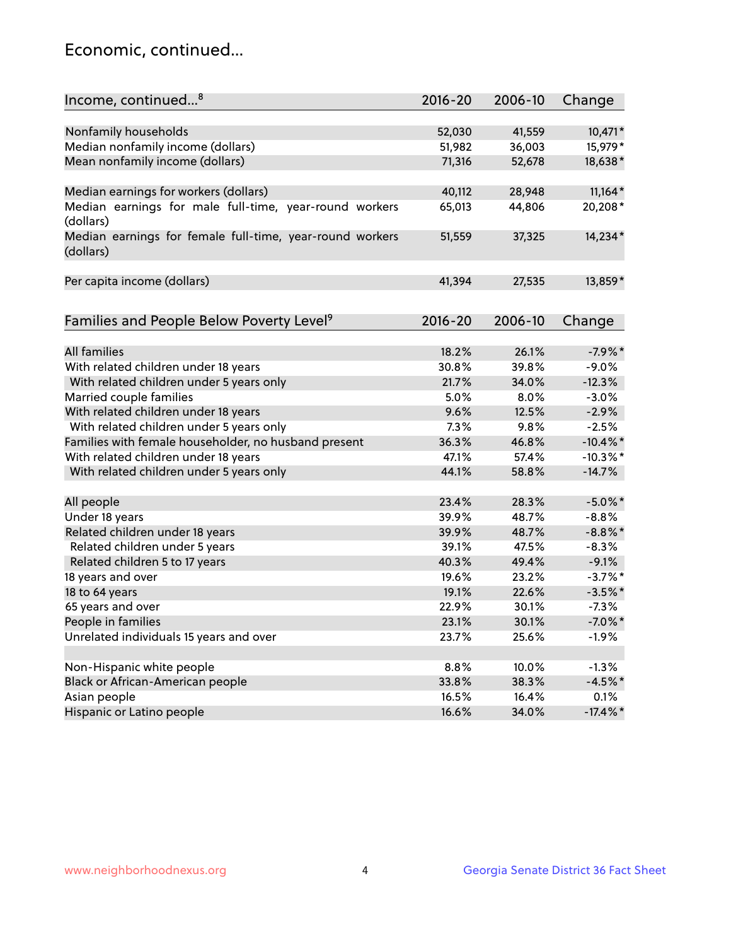## Economic, continued...

| Income, continued <sup>8</sup>                           | $2016 - 20$ | 2006-10 | Change      |
|----------------------------------------------------------|-------------|---------|-------------|
|                                                          |             |         |             |
| Nonfamily households                                     | 52,030      | 41,559  | 10,471*     |
| Median nonfamily income (dollars)                        | 51,982      | 36,003  | 15,979*     |
| Mean nonfamily income (dollars)                          | 71,316      | 52,678  | 18,638*     |
|                                                          |             |         |             |
| Median earnings for workers (dollars)                    | 40,112      | 28,948  | $11,164*$   |
| Median earnings for male full-time, year-round workers   | 65,013      | 44,806  | 20,208*     |
| (dollars)                                                |             |         |             |
| Median earnings for female full-time, year-round workers | 51,559      | 37,325  | 14,234*     |
| (dollars)                                                |             |         |             |
|                                                          |             |         |             |
| Per capita income (dollars)                              | 41,394      | 27,535  | 13,859*     |
|                                                          |             |         |             |
| Families and People Below Poverty Level <sup>9</sup>     | $2016 - 20$ | 2006-10 | Change      |
|                                                          |             |         |             |
| <b>All families</b>                                      | 18.2%       | 26.1%   | $-7.9%$ *   |
| With related children under 18 years                     | 30.8%       | 39.8%   | $-9.0%$     |
| With related children under 5 years only                 | 21.7%       | 34.0%   | $-12.3%$    |
| Married couple families                                  | 5.0%        | 8.0%    | $-3.0%$     |
| With related children under 18 years                     | 9.6%        | 12.5%   | $-2.9%$     |
| With related children under 5 years only                 | 7.3%        | 9.8%    | $-2.5%$     |
| Families with female householder, no husband present     | 36.3%       | 46.8%   | $-10.4\%$ * |
| With related children under 18 years                     | 47.1%       | 57.4%   | $-10.3\%$ * |
| With related children under 5 years only                 | 44.1%       | 58.8%   | $-14.7%$    |
|                                                          |             |         |             |
| All people                                               | 23.4%       | 28.3%   | $-5.0\%$ *  |
| Under 18 years                                           | 39.9%       | 48.7%   | $-8.8%$     |
| Related children under 18 years                          | 39.9%       | 48.7%   | $-8.8\%$ *  |
| Related children under 5 years                           | 39.1%       | 47.5%   | $-8.3%$     |
| Related children 5 to 17 years                           | 40.3%       | 49.4%   | $-9.1%$     |
| 18 years and over                                        | 19.6%       | 23.2%   | $-3.7%$ *   |
| 18 to 64 years                                           | 19.1%       | 22.6%   | $-3.5%$ *   |
| 65 years and over                                        | 22.9%       | 30.1%   | $-7.3%$     |
| People in families                                       | 23.1%       | 30.1%   | $-7.0\%$ *  |
| Unrelated individuals 15 years and over                  | 23.7%       | 25.6%   | $-1.9%$     |
|                                                          |             |         |             |
| Non-Hispanic white people                                | 8.8%        | 10.0%   | $-1.3%$     |
| Black or African-American people                         | 33.8%       | 38.3%   | $-4.5%$ *   |
| Asian people                                             | 16.5%       | 16.4%   | 0.1%        |
| Hispanic or Latino people                                | 16.6%       | 34.0%   | $-17.4\%$ * |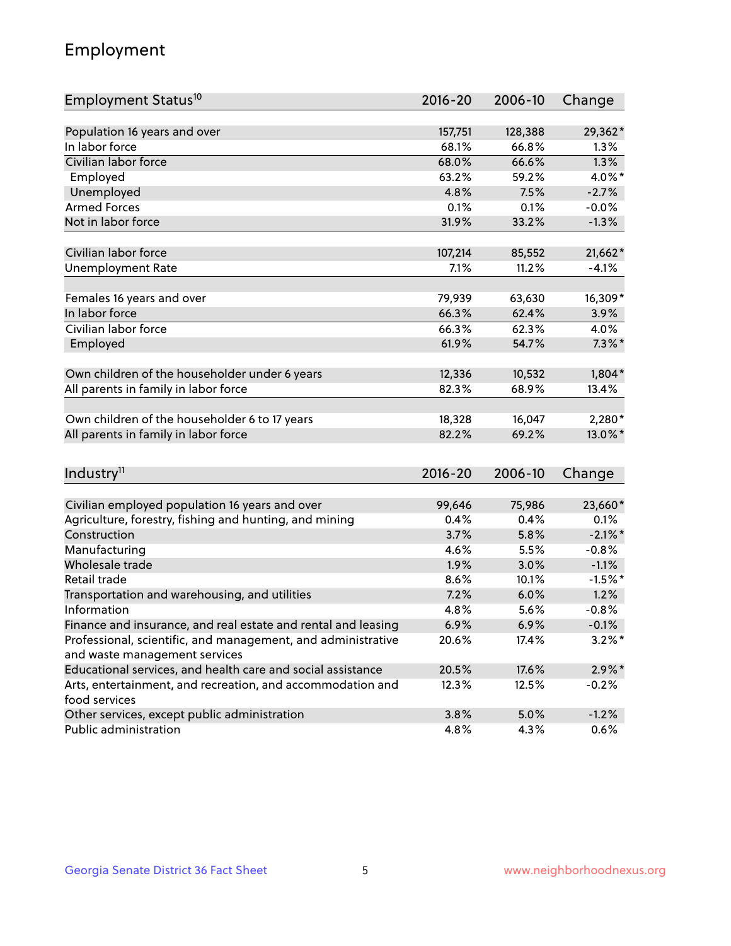## Employment

| Employment Status <sup>10</sup>                                        | $2016 - 20$ | 2006-10 | Change     |
|------------------------------------------------------------------------|-------------|---------|------------|
|                                                                        |             |         |            |
| Population 16 years and over                                           | 157,751     | 128,388 | 29,362*    |
| In labor force                                                         | 68.1%       | 66.8%   | 1.3%       |
| Civilian labor force                                                   | 68.0%       | 66.6%   | 1.3%       |
| Employed                                                               | 63.2%       | 59.2%   | 4.0%*      |
| Unemployed                                                             | 4.8%        | 7.5%    | $-2.7%$    |
| <b>Armed Forces</b>                                                    | 0.1%        | 0.1%    | $-0.0%$    |
| Not in labor force                                                     | 31.9%       | 33.2%   | $-1.3%$    |
| Civilian labor force                                                   | 107,214     | 85,552  | $21,662*$  |
| <b>Unemployment Rate</b>                                               | 7.1%        | 11.2%   | $-4.1%$    |
|                                                                        |             |         |            |
| Females 16 years and over                                              | 79,939      | 63,630  | 16,309*    |
| In labor force                                                         | 66.3%       | 62.4%   | 3.9%       |
| Civilian labor force                                                   | 66.3%       | 62.3%   | 4.0%       |
| Employed                                                               | 61.9%       | 54.7%   | $7.3\%$ *  |
| Own children of the householder under 6 years                          | 12,336      | 10,532  | $1,804*$   |
| All parents in family in labor force                                   | 82.3%       | 68.9%   | 13.4%      |
|                                                                        |             |         |            |
| Own children of the householder 6 to 17 years                          | 18,328      | 16,047  | 2,280*     |
| All parents in family in labor force                                   | 82.2%       | 69.2%   | 13.0%*     |
|                                                                        |             |         |            |
| Industry <sup>11</sup>                                                 | $2016 - 20$ | 2006-10 | Change     |
| Civilian employed population 16 years and over                         | 99,646      | 75,986  | 23,660*    |
|                                                                        | 0.4%        | 0.4%    | 0.1%       |
| Agriculture, forestry, fishing and hunting, and mining<br>Construction | 3.7%        | 5.8%    | $-2.1\%$ * |
| Manufacturing                                                          | 4.6%        | 5.5%    | $-0.8%$    |
| Wholesale trade                                                        | 1.9%        | 3.0%    | $-1.1%$    |
| Retail trade                                                           | 8.6%        | 10.1%   | $-1.5%$ *  |
| Transportation and warehousing, and utilities                          | 7.2%        | 6.0%    | 1.2%       |
| Information                                                            | 4.8%        | 5.6%    | $-0.8%$    |
| Finance and insurance, and real estate and rental and leasing          | 6.9%        | 6.9%    | $-0.1%$    |
| Professional, scientific, and management, and administrative           | 20.6%       | 17.4%   | $3.2\%$ *  |
| and waste management services                                          |             |         |            |
| Educational services, and health care and social assistance            | 20.5%       | 17.6%   | $2.9\%$ *  |
| Arts, entertainment, and recreation, and accommodation and             | 12.3%       | 12.5%   | $-0.2%$    |
| food services                                                          |             |         |            |
| Other services, except public administration                           | 3.8%        | 5.0%    | $-1.2%$    |
| Public administration                                                  | 4.8%        | 4.3%    | 0.6%       |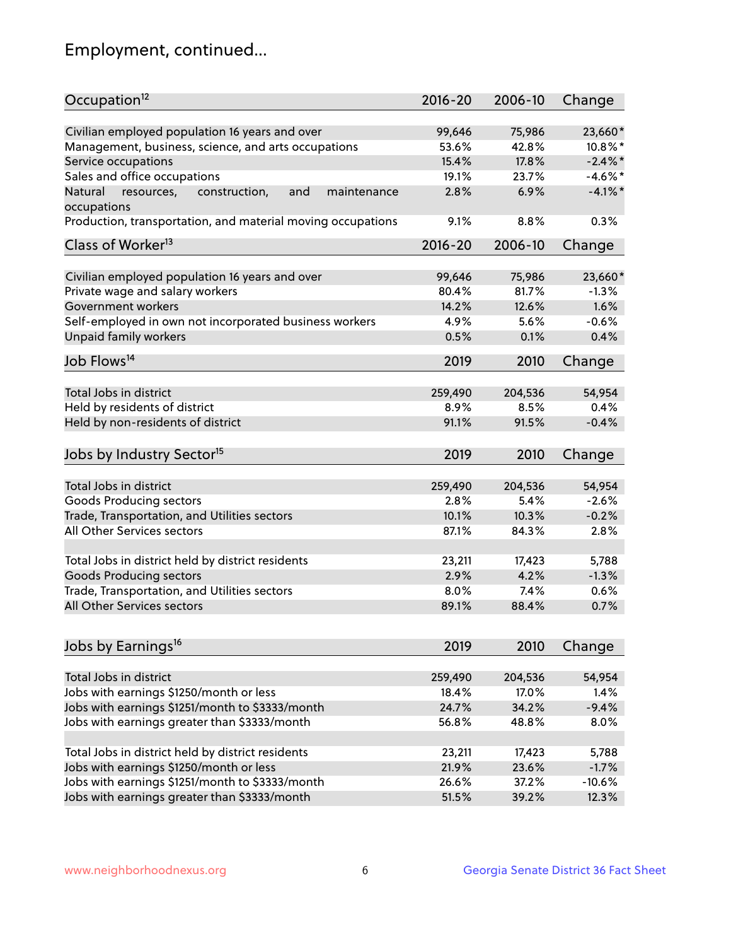## Employment, continued...

| Occupation <sup>12</sup>                                                    | $2016 - 20$ | 2006-10 | Change     |
|-----------------------------------------------------------------------------|-------------|---------|------------|
| Civilian employed population 16 years and over                              | 99,646      | 75,986  | 23,660*    |
| Management, business, science, and arts occupations                         | 53.6%       | 42.8%   | $10.8\%$ * |
| Service occupations                                                         | 15.4%       | 17.8%   | $-2.4\%$ * |
| Sales and office occupations                                                | 19.1%       | 23.7%   | $-4.6\%$ * |
|                                                                             |             |         | $-4.1%$    |
| and<br>maintenance<br>Natural<br>resources,<br>construction,<br>occupations | 2.8%        | 6.9%    |            |
| Production, transportation, and material moving occupations                 | 9.1%        | 8.8%    | 0.3%       |
| Class of Worker <sup>13</sup>                                               | $2016 - 20$ | 2006-10 | Change     |
|                                                                             |             |         |            |
| Civilian employed population 16 years and over                              | 99,646      | 75,986  | 23,660*    |
| Private wage and salary workers                                             | 80.4%       | 81.7%   | $-1.3%$    |
| Government workers                                                          | 14.2%       | 12.6%   | 1.6%       |
| Self-employed in own not incorporated business workers                      | 4.9%        | 5.6%    | $-0.6%$    |
| Unpaid family workers                                                       | 0.5%        | 0.1%    | 0.4%       |
| Job Flows <sup>14</sup>                                                     | 2019        | 2010    | Change     |
|                                                                             |             |         |            |
| Total Jobs in district                                                      | 259,490     | 204,536 | 54,954     |
| Held by residents of district                                               | 8.9%        | 8.5%    | 0.4%       |
| Held by non-residents of district                                           | 91.1%       | 91.5%   | $-0.4%$    |
| Jobs by Industry Sector <sup>15</sup>                                       | 2019        | 2010    | Change     |
|                                                                             |             |         |            |
| Total Jobs in district                                                      | 259,490     | 204,536 | 54,954     |
| Goods Producing sectors                                                     | 2.8%        | 5.4%    | $-2.6%$    |
| Trade, Transportation, and Utilities sectors                                | 10.1%       | 10.3%   | $-0.2%$    |
| All Other Services sectors                                                  | 87.1%       | 84.3%   | 2.8%       |
|                                                                             |             |         |            |
| Total Jobs in district held by district residents                           | 23,211      | 17,423  | 5,788      |
| <b>Goods Producing sectors</b>                                              | 2.9%        | 4.2%    | $-1.3%$    |
| Trade, Transportation, and Utilities sectors                                | 8.0%        | 7.4%    | 0.6%       |
| All Other Services sectors                                                  | 89.1%       | 88.4%   | 0.7%       |
|                                                                             |             |         |            |
| Jobs by Earnings <sup>16</sup>                                              | 2019        | 2010    | Change     |
| Total Jobs in district                                                      | 259,490     | 204,536 | 54,954     |
| Jobs with earnings \$1250/month or less                                     | 18.4%       | 17.0%   | 1.4%       |
| Jobs with earnings \$1251/month to \$3333/month                             | 24.7%       | 34.2%   | $-9.4%$    |
|                                                                             |             |         | 8.0%       |
| Jobs with earnings greater than \$3333/month                                | 56.8%       | 48.8%   |            |
| Total Jobs in district held by district residents                           | 23,211      | 17,423  | 5,788      |
| Jobs with earnings \$1250/month or less                                     | 21.9%       | 23.6%   | $-1.7%$    |
| Jobs with earnings \$1251/month to \$3333/month                             | 26.6%       | 37.2%   | $-10.6%$   |
| Jobs with earnings greater than \$3333/month                                | 51.5%       | 39.2%   | 12.3%      |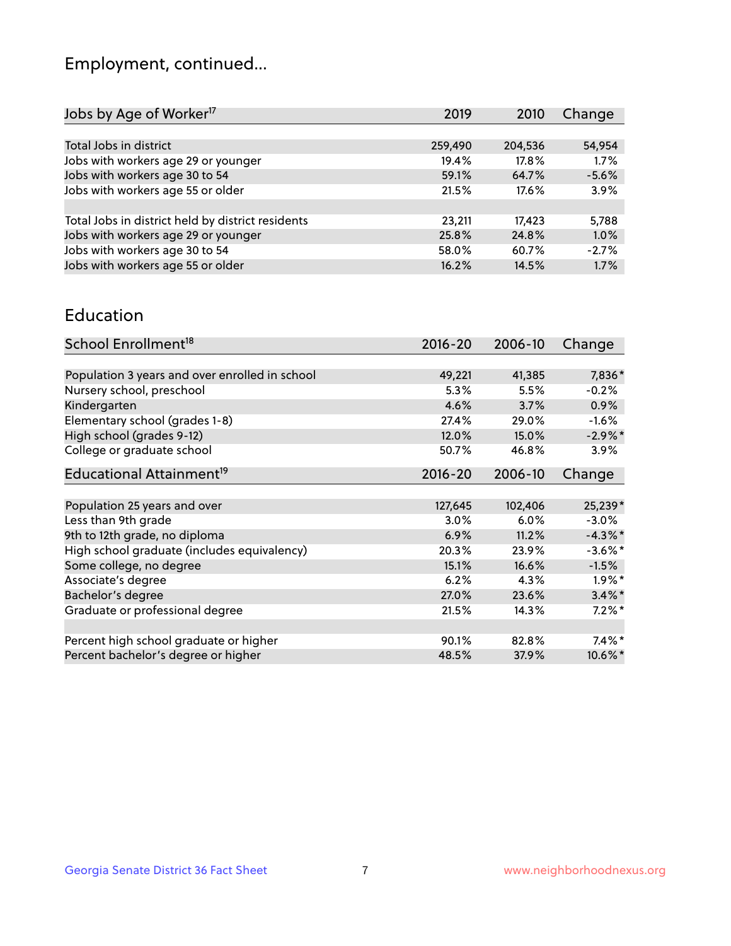## Employment, continued...

| 2019    | 2010    | Change  |
|---------|---------|---------|
|         |         |         |
| 259,490 | 204,536 | 54,954  |
| 19.4%   | 17.8%   | 1.7%    |
| 59.1%   | 64.7%   | $-5.6%$ |
| 21.5%   | 17.6%   | 3.9%    |
|         |         |         |
| 23,211  | 17,423  | 5,788   |
| 25.8%   | 24.8%   | 1.0%    |
| 58.0%   | 60.7%   | $-2.7%$ |
| 16.2%   | 14.5%   | 1.7%    |
|         |         |         |

#### Education

| School Enrollment <sup>18</sup>                | $2016 - 20$ | 2006-10 | Change     |
|------------------------------------------------|-------------|---------|------------|
|                                                |             |         |            |
| Population 3 years and over enrolled in school | 49,221      | 41,385  | 7,836*     |
| Nursery school, preschool                      | 5.3%        | 5.5%    | $-0.2%$    |
| Kindergarten                                   | 4.6%        | 3.7%    | 0.9%       |
| Elementary school (grades 1-8)                 | 27.4%       | 29.0%   | $-1.6%$    |
| High school (grades 9-12)                      | 12.0%       | 15.0%   | $-2.9\%$ * |
| College or graduate school                     | 50.7%       | 46.8%   | $3.9\%$    |
| Educational Attainment <sup>19</sup>           | $2016 - 20$ | 2006-10 | Change     |
|                                                |             |         |            |
| Population 25 years and over                   | 127,645     | 102,406 | 25,239*    |
| Less than 9th grade                            | 3.0%        | $6.0\%$ | $-3.0%$    |
| 9th to 12th grade, no diploma                  | 6.9%        | 11.2%   | $-4.3\%$ * |
| High school graduate (includes equivalency)    | 20.3%       | 23.9%   | $-3.6\%$ * |
| Some college, no degree                        | 15.1%       | 16.6%   | $-1.5%$    |
| Associate's degree                             | 6.2%        | 4.3%    | $1.9\%$ *  |
| Bachelor's degree                              | 27.0%       | 23.6%   | $3.4\%$ *  |
| Graduate or professional degree                | 21.5%       | 14.3%   | $7.2\%$ *  |
|                                                |             |         |            |
| Percent high school graduate or higher         | 90.1%       | 82.8%   | $7.4\%$ *  |
| Percent bachelor's degree or higher            | 48.5%       | 37.9%   | $10.6\%$ * |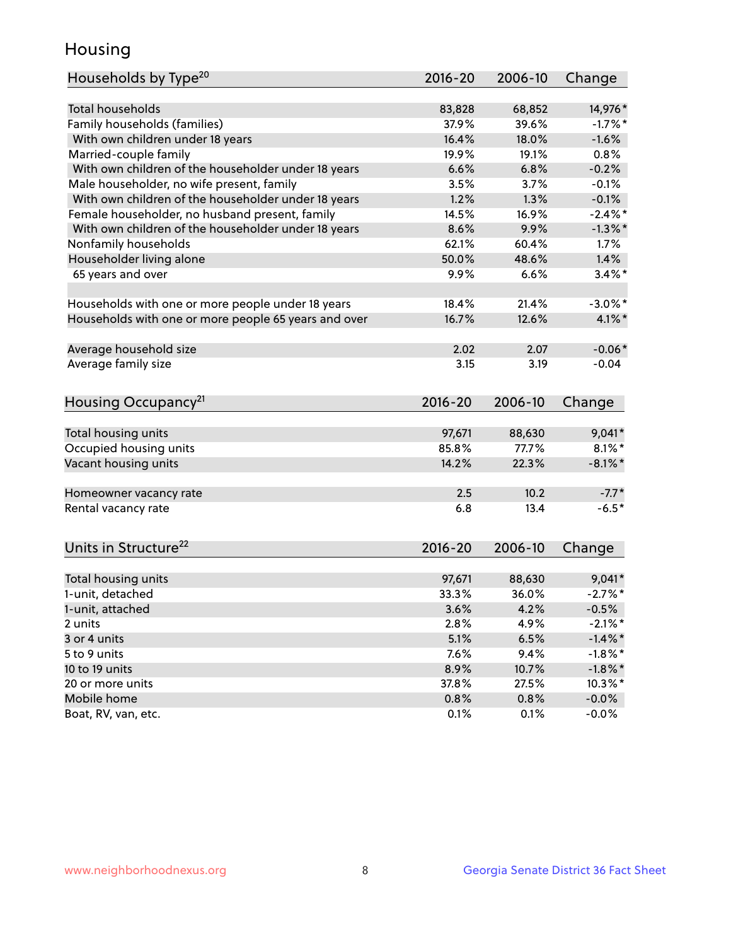## Housing

| Households by Type <sup>20</sup>                     | 2016-20     | 2006-10 | Change     |
|------------------------------------------------------|-------------|---------|------------|
|                                                      |             |         |            |
| <b>Total households</b>                              | 83,828      | 68,852  | 14,976*    |
| Family households (families)                         | 37.9%       | 39.6%   | $-1.7%$ *  |
| With own children under 18 years                     | 16.4%       | 18.0%   | $-1.6%$    |
| Married-couple family                                | 19.9%       | 19.1%   | 0.8%       |
| With own children of the householder under 18 years  | 6.6%        | 6.8%    | $-0.2%$    |
| Male householder, no wife present, family            | 3.5%        | 3.7%    | $-0.1%$    |
| With own children of the householder under 18 years  | 1.2%        | 1.3%    | $-0.1%$    |
| Female householder, no husband present, family       | 14.5%       | 16.9%   | $-2.4\%$ * |
| With own children of the householder under 18 years  | 8.6%        | 9.9%    | $-1.3\%$ * |
| Nonfamily households                                 | 62.1%       | 60.4%   | $1.7\%$    |
| Householder living alone                             | 50.0%       | 48.6%   | 1.4%       |
| 65 years and over                                    | 9.9%        | 6.6%    | $3.4\%$ *  |
| Households with one or more people under 18 years    | 18.4%       | 21.4%   | $-3.0\%$ * |
| Households with one or more people 65 years and over | 16.7%       | 12.6%   | $4.1\%$ *  |
|                                                      |             |         |            |
| Average household size                               | 2.02        | 2.07    | $-0.06*$   |
| Average family size                                  | 3.15        | 3.19    | $-0.04$    |
| Housing Occupancy <sup>21</sup>                      | $2016 - 20$ | 2006-10 | Change     |
|                                                      |             |         |            |
| Total housing units                                  | 97,671      | 88,630  | 9,041*     |
| Occupied housing units                               | 85.8%       | 77.7%   | $8.1\%$ *  |
| Vacant housing units                                 | 14.2%       | 22.3%   | $-8.1\%$ * |
| Homeowner vacancy rate                               | 2.5         | 10.2    | $-7.7*$    |
| Rental vacancy rate                                  | 6.8         | 13.4    | $-6.5*$    |
| Units in Structure <sup>22</sup>                     | 2016-20     | 2006-10 | Change     |
|                                                      |             |         |            |
| Total housing units                                  | 97,671      | 88,630  | $9,041*$   |
| 1-unit, detached                                     | 33.3%       | 36.0%   | $-2.7%$ *  |
| 1-unit, attached                                     | 3.6%        | 4.2%    | $-0.5%$    |
| 2 units                                              | 2.8%        | 4.9%    | $-2.1\%$ * |
| 3 or 4 units                                         | 5.1%        | 6.5%    | $-1.4%$ *  |
| 5 to 9 units                                         | 7.6%        | 9.4%    | $-1.8\%$ * |
| 10 to 19 units                                       | 8.9%        | 10.7%   | $-1.8\%$ * |
| 20 or more units                                     | 37.8%       | 27.5%   | $10.3\%$ * |
| Mobile home                                          | 0.8%        | 0.8%    | $-0.0\%$   |
| Boat, RV, van, etc.                                  | 0.1%        | 0.1%    | $-0.0%$    |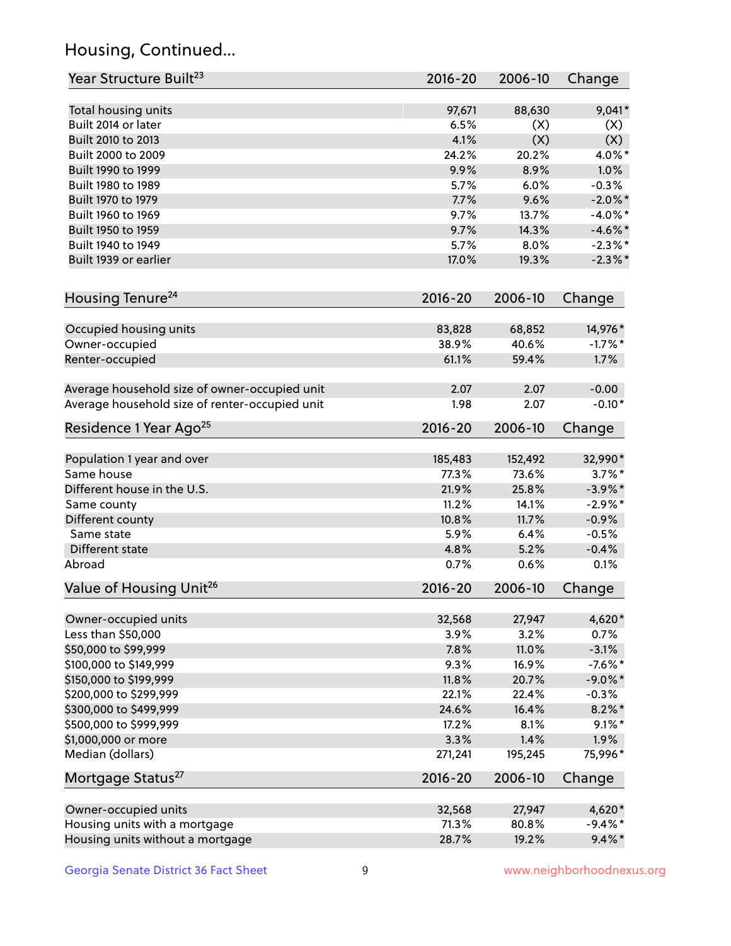## Housing, Continued...

| Year Structure Built <sup>23</sup>             | 2016-20     | 2006-10 | Change     |
|------------------------------------------------|-------------|---------|------------|
| Total housing units                            | 97,671      | 88,630  | $9,041*$   |
| Built 2014 or later                            | 6.5%        | (X)     | (X)        |
| Built 2010 to 2013                             | 4.1%        | (X)     | (X)        |
| Built 2000 to 2009                             | 24.2%       | 20.2%   | 4.0%*      |
| Built 1990 to 1999                             | 9.9%        | 8.9%    | 1.0%       |
| Built 1980 to 1989                             | 5.7%        | 6.0%    | $-0.3%$    |
| Built 1970 to 1979                             | 7.7%        | 9.6%    | $-2.0\%$ * |
| Built 1960 to 1969                             | 9.7%        | 13.7%   | $-4.0\%$ * |
| Built 1950 to 1959                             | 9.7%        | 14.3%   | $-4.6\%$ * |
| Built 1940 to 1949                             | 5.7%        | 8.0%    | $-2.3\%$ * |
| Built 1939 or earlier                          | 17.0%       | 19.3%   | $-2.3\%$ * |
| Housing Tenure <sup>24</sup>                   | $2016 - 20$ | 2006-10 | Change     |
| Occupied housing units                         | 83,828      | 68,852  | 14,976*    |
| Owner-occupied                                 | 38.9%       | 40.6%   | $-1.7%$ *  |
| Renter-occupied                                | 61.1%       | 59.4%   | 1.7%       |
| Average household size of owner-occupied unit  | 2.07        | 2.07    | $-0.00$    |
| Average household size of renter-occupied unit | 1.98        | 2.07    | $-0.10*$   |
| Residence 1 Year Ago <sup>25</sup>             | $2016 - 20$ | 2006-10 | Change     |
| Population 1 year and over                     | 185,483     | 152,492 | 32,990*    |
| Same house                                     | 77.3%       | 73.6%   | $3.7\%$ *  |
| Different house in the U.S.                    | 21.9%       | 25.8%   | $-3.9\%$ * |
| Same county                                    | 11.2%       | 14.1%   | $-2.9\%$ * |
| Different county                               | 10.8%       | 11.7%   | $-0.9%$    |
| Same state                                     | 5.9%        | 6.4%    | $-0.5%$    |
| Different state                                | 4.8%        | 5.2%    | $-0.4%$    |
| Abroad                                         | 0.7%        | 0.6%    | 0.1%       |
| Value of Housing Unit <sup>26</sup>            | 2016-20     | 2006-10 | Change     |
| Owner-occupied units                           | 32,568      | 27,947  | 4,620*     |
| Less than \$50,000                             | 3.9%        | 3.2%    | 0.7%       |
| \$50,000 to \$99,999                           | 7.8%        | 11.0%   | $-3.1%$    |
| \$100,000 to \$149,999                         | 9.3%        | 16.9%   | $-7.6%$ *  |
| \$150,000 to \$199,999                         | 11.8%       | 20.7%   | $-9.0\%$ * |
| \$200,000 to \$299,999                         | 22.1%       | 22.4%   | $-0.3%$    |
| \$300,000 to \$499,999                         | 24.6%       | 16.4%   | $8.2\%$ *  |
| \$500,000 to \$999,999                         | 17.2%       | 8.1%    | $9.1\%$ *  |
| \$1,000,000 or more                            | 3.3%        | 1.4%    | 1.9%       |
| Median (dollars)                               | 271,241     | 195,245 | 75,996*    |
| Mortgage Status <sup>27</sup>                  | $2016 - 20$ | 2006-10 | Change     |
| Owner-occupied units                           | 32,568      | 27,947  | 4,620*     |
| Housing units with a mortgage                  | 71.3%       | 80.8%   | $-9.4\%$ * |
| Housing units without a mortgage               | 28.7%       | 19.2%   | $9.4\%$ *  |
|                                                |             |         |            |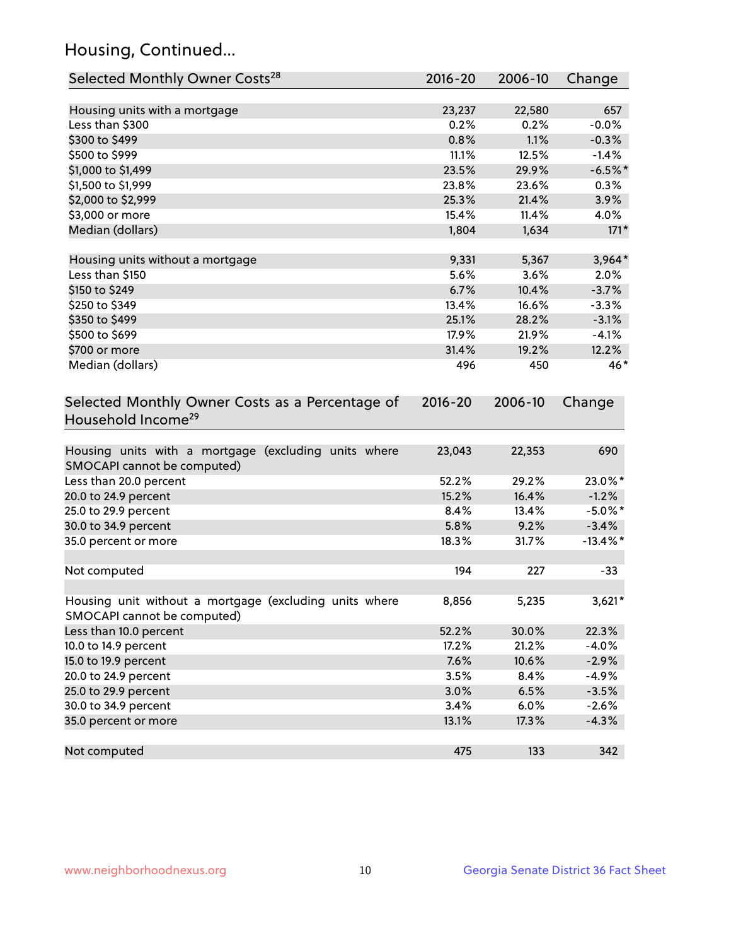## Housing, Continued...

| Selected Monthly Owner Costs <sup>28</sup>                                            | 2016-20     | 2006-10 | Change      |
|---------------------------------------------------------------------------------------|-------------|---------|-------------|
| Housing units with a mortgage                                                         | 23,237      | 22,580  | 657         |
| Less than \$300                                                                       | 0.2%        | 0.2%    | $-0.0%$     |
| \$300 to \$499                                                                        | 0.8%        | 1.1%    | $-0.3%$     |
| \$500 to \$999                                                                        | 11.1%       | 12.5%   | $-1.4%$     |
| \$1,000 to \$1,499                                                                    | 23.5%       | 29.9%   | $-6.5%$ *   |
| \$1,500 to \$1,999                                                                    | 23.8%       | 23.6%   | 0.3%        |
| \$2,000 to \$2,999                                                                    | 25.3%       | 21.4%   | 3.9%        |
| \$3,000 or more                                                                       | 15.4%       | 11.4%   | 4.0%        |
| Median (dollars)                                                                      | 1,804       | 1,634   | $171*$      |
|                                                                                       |             |         |             |
| Housing units without a mortgage                                                      | 9,331       | 5,367   | $3,964*$    |
| Less than \$150                                                                       | 5.6%        | 3.6%    | 2.0%        |
| \$150 to \$249                                                                        | 6.7%        | 10.4%   | $-3.7%$     |
| \$250 to \$349                                                                        | 13.4%       | 16.6%   | $-3.3%$     |
| \$350 to \$499                                                                        | 25.1%       | 28.2%   | $-3.1%$     |
| \$500 to \$699                                                                        | 17.9%       | 21.9%   | $-4.1%$     |
| \$700 or more                                                                         | 31.4%       | 19.2%   | 12.2%       |
| Median (dollars)                                                                      | 496         | 450     | 46*         |
| Selected Monthly Owner Costs as a Percentage of<br>Household Income <sup>29</sup>     | $2016 - 20$ | 2006-10 | Change      |
| Housing units with a mortgage (excluding units where<br>SMOCAPI cannot be computed)   | 23,043      | 22,353  | 690         |
| Less than 20.0 percent                                                                | 52.2%       | 29.2%   | 23.0%*      |
| 20.0 to 24.9 percent                                                                  | 15.2%       | 16.4%   | $-1.2%$     |
| 25.0 to 29.9 percent                                                                  | 8.4%        | 13.4%   | $-5.0\%$ *  |
| 30.0 to 34.9 percent                                                                  | 5.8%        | 9.2%    | $-3.4%$     |
| 35.0 percent or more                                                                  | 18.3%       | 31.7%   | $-13.4\%$ * |
| Not computed                                                                          | 194         | 227     | $-33$       |
| Housing unit without a mortgage (excluding units where<br>SMOCAPI cannot be computed) | 8,856       | 5,235   | $3,621*$    |
| Less than 10.0 percent                                                                | 52.2%       | 30.0%   | 22.3%       |
| 10.0 to 14.9 percent                                                                  | 17.2%       | 21.2%   | $-4.0%$     |
| 15.0 to 19.9 percent                                                                  | 7.6%        | 10.6%   | $-2.9%$     |
| 20.0 to 24.9 percent                                                                  | 3.5%        | 8.4%    | $-4.9%$     |
| 25.0 to 29.9 percent                                                                  | 3.0%        | 6.5%    | $-3.5%$     |
| 30.0 to 34.9 percent                                                                  | 3.4%        | 6.0%    | $-2.6%$     |
| 35.0 percent or more                                                                  | 13.1%       | 17.3%   | $-4.3%$     |
| Not computed                                                                          | 475         | 133     | 342         |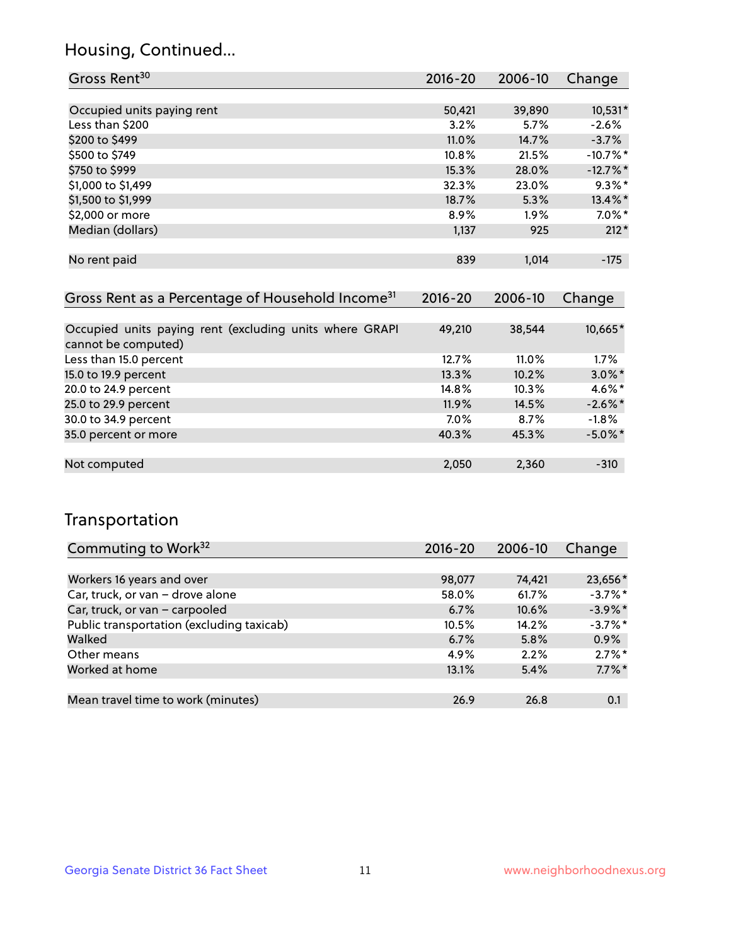## Housing, Continued...

| Gross Rent <sup>30</sup>   | 2016-20 | 2006-10 | Change     |
|----------------------------|---------|---------|------------|
|                            |         |         |            |
| Occupied units paying rent | 50,421  | 39,890  | 10,531*    |
| Less than \$200            | 3.2%    | 5.7%    | $-2.6%$    |
| \$200 to \$499             | 11.0%   | 14.7%   | $-3.7%$    |
| \$500 to \$749             | 10.8%   | 21.5%   | $-10.7%$ * |
| \$750 to \$999             | 15.3%   | 28.0%   | $-12.7%$   |
| \$1,000 to \$1,499         | 32.3%   | 23.0%   | $9.3\%$ *  |
| \$1,500 to \$1,999         | 18.7%   | 5.3%    | 13.4%*     |
| \$2,000 or more            | 8.9%    | $1.9\%$ | $7.0\%$ *  |
| Median (dollars)           | 1,137   | 925     | $212*$     |
|                            |         |         |            |
| No rent paid               | 839     | 1,014   | $-175$     |
|                            |         |         |            |

| Gross Rent as a Percentage of Household Income <sup>31</sup>                   | $2016 - 20$ | 2006-10 | Change     |
|--------------------------------------------------------------------------------|-------------|---------|------------|
|                                                                                |             |         |            |
| Occupied units paying rent (excluding units where GRAPI<br>cannot be computed) | 49,210      | 38,544  | 10,665*    |
| Less than 15.0 percent                                                         | 12.7%       | 11.0%   | 1.7%       |
| 15.0 to 19.9 percent                                                           | 13.3%       | 10.2%   | $3.0\%$ *  |
| 20.0 to 24.9 percent                                                           | 14.8%       | 10.3%   | 4.6%*      |
| 25.0 to 29.9 percent                                                           | 11.9%       | 14.5%   | $-2.6\%$ * |
| 30.0 to 34.9 percent                                                           | $7.0\%$     | 8.7%    | $-1.8%$    |
| 35.0 percent or more                                                           | 40.3%       | 45.3%   | $-5.0\%$ * |
|                                                                                |             |         |            |
| Not computed                                                                   | 2,050       | 2,360   | $-310$     |

## Transportation

| Commuting to Work <sup>32</sup>           | 2016-20 | 2006-10 | Change     |
|-------------------------------------------|---------|---------|------------|
|                                           |         |         |            |
| Workers 16 years and over                 | 98,077  | 74,421  | 23,656*    |
| Car, truck, or van - drove alone          | 58.0%   | 61.7%   | $-3.7\%$ * |
| Car, truck, or van - carpooled            | 6.7%    | 10.6%   | $-3.9\%$ * |
| Public transportation (excluding taxicab) | 10.5%   | 14.2%   | $-3.7\%$ * |
| Walked                                    | 6.7%    | 5.8%    | 0.9%       |
| Other means                               | 4.9%    | 2.2%    | $2.7\%$ *  |
| Worked at home                            | 13.1%   | 5.4%    | $7.7\%$ *  |
|                                           |         |         |            |
| Mean travel time to work (minutes)        | 26.9    | 26.8    | 0.1        |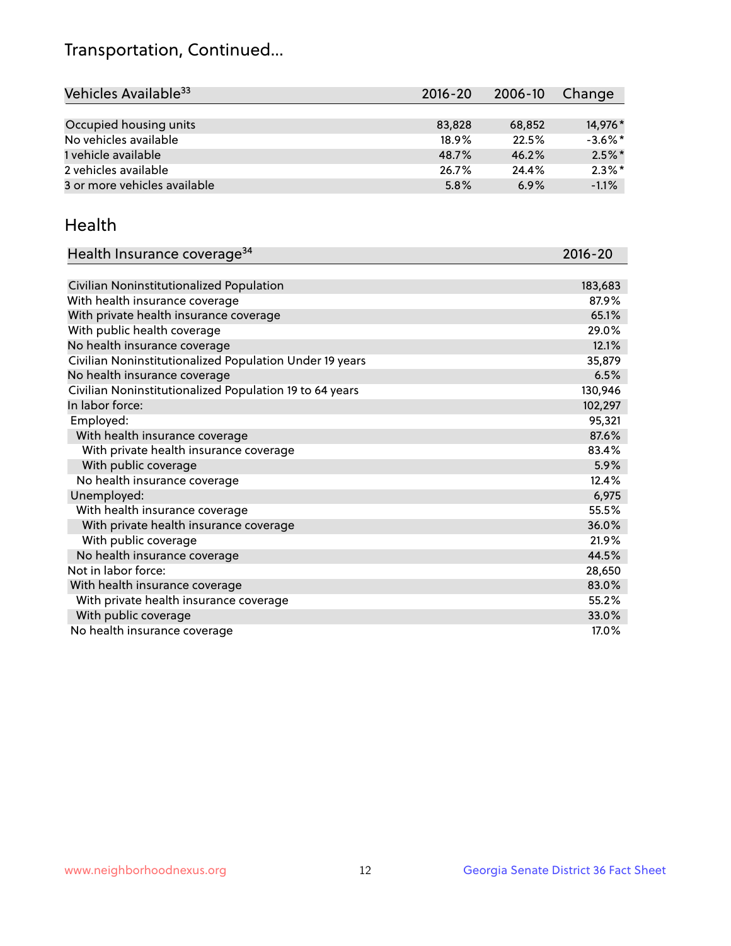## Transportation, Continued...

| Vehicles Available <sup>33</sup> | $2016 - 20$ | 2006-10 | Change     |
|----------------------------------|-------------|---------|------------|
|                                  |             |         |            |
| Occupied housing units           | 83,828      | 68.852  | 14,976*    |
| No vehicles available            | 18.9%       | 22.5%   | $-3.6\%$ * |
| 1 vehicle available              | 48.7%       | 46.2%   | $2.5\%$ *  |
| 2 vehicles available             | 26.7%       | 24.4%   | $2.3\%$ *  |
| 3 or more vehicles available     | 5.8%        | 6.9%    | $-1.1%$    |

#### Health

| Health Insurance coverage <sup>34</sup>                 | 2016-20 |
|---------------------------------------------------------|---------|
|                                                         |         |
| Civilian Noninstitutionalized Population                | 183,683 |
| With health insurance coverage                          | 87.9%   |
| With private health insurance coverage                  | 65.1%   |
| With public health coverage                             | 29.0%   |
| No health insurance coverage                            | 12.1%   |
| Civilian Noninstitutionalized Population Under 19 years | 35,879  |
| No health insurance coverage                            | 6.5%    |
| Civilian Noninstitutionalized Population 19 to 64 years | 130,946 |
| In labor force:                                         | 102,297 |
| Employed:                                               | 95,321  |
| With health insurance coverage                          | 87.6%   |
| With private health insurance coverage                  | 83.4%   |
| With public coverage                                    | 5.9%    |
| No health insurance coverage                            | 12.4%   |
| Unemployed:                                             | 6,975   |
| With health insurance coverage                          | 55.5%   |
| With private health insurance coverage                  | 36.0%   |
| With public coverage                                    | 21.9%   |
| No health insurance coverage                            | 44.5%   |
| Not in labor force:                                     | 28,650  |
| With health insurance coverage                          | 83.0%   |
| With private health insurance coverage                  | 55.2%   |
| With public coverage                                    | 33.0%   |
| No health insurance coverage                            | 17.0%   |